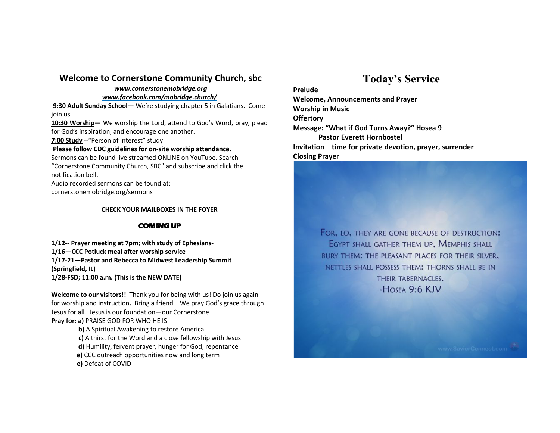## **Welcome to Cornerstone Community Church, sbc**

#### *www.cornerstonemobridge.org*

#### *www.facebook.com/mobridge.church/*

**9:30 Adult Sunday School—** We're studying chapter 5 in Galatians. Come join us.

**10:30 Worship—** We worship the Lord, attend to God's Word, pray, plead for God's inspiration, and encourage one another.

**7:00 Study** --"Person of Interest" study

#### **Please follow CDC guidelines for on-site worship attendance.**

Sermons can be found live streamed ONLINE on YouTube. Search "Cornerstone Community Church, SBC" and subscribe and click the notification bell.

Audio recorded sermons can be found at:

cornerstonemobridge.org/sermons

#### **CHECK YOUR MAILBOXES IN THE FOYER**

### **COMING UP**

**1/12-- Prayer meeting at 7pm; with study of Ephesians-1/16—CCC Potluck meal after worship service 1/17-21—Pastor and Rebecca to Midwest Leadership Summit (Springfield, IL) 1/28-FSD; 11:00 a.m. (This is the NEW DATE)**

**Welcome to our visitors!!** Thank you for being with us! Do join us again for worship and instruction**.** Bring a friend. We pray God's grace through Jesus for all. Jesus is our foundation—our Cornerstone. **Pray for: a)** PRAISE GOD FOR WHO HE IS

> **b)** A Spiritual Awakening to restore America **c)** A thirst for the Word and a close fellowship with Jesus **d)** Humility, fervent prayer, hunger for God, repentance **e)** CCC outreach opportunities now and long term **e)** Defeat of COVID

# **Today's Service**

**Prelude**

**Welcome, Announcements and Prayer Worship in Music Offertory Message: "What if God Turns Away?" Hosea 9 Pastor Everett Hornbostel Invitation** – **time for private devotion, prayer, surrender Closing Prayer**

> FOR, LO, THEY ARE GONE BECAUSE OF DESTRUCTION: EGYPT SHALL GATHER THEM UP, MEMPHIS SHALL BURY THEM: THE PLEASANT PLACES FOR THEIR SILVER, NETTLES SHALL POSSESS THEM: THORNS SHALL BE IN THEIR TABERNACLES.  $-H$ OSEA 9:6 KJV